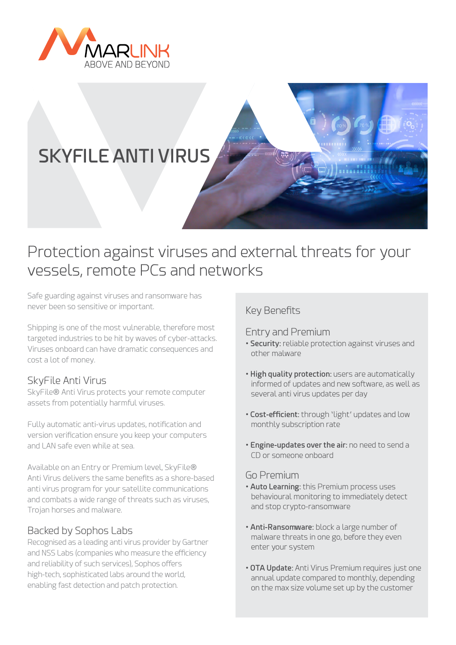

# **SKYFILE ANTI VIRUS**

## Protection against viruses and external threats for your vessels, remote PCs and networks

Safe guarding against viruses and ransomware has never been so sensitive or important.

Shipping is one of the most vulnerable, therefore most targeted industries to be hit by waves of cyber-attacks. Viruses onboard can have dramatic consequences and cost a lot of money.

## SkyFile Anti Virus

SkyFile® Anti Virus protects your remote computer assets from potentially harmful viruses.

Fully automatic anti-virus updates, notification and version verification ensure you keep your computers and LAN safe even while at sea.

Available on an Entry or Premium level, SkyFile® Anti Virus delivers the same benefits as a shore-based anti virus program for your satellite communications and combats a wide range of threats such as viruses, Trojan horses and malware.

#### Backed by Sophos Labs

Recognised as a leading anti virus provider by Gartner and NSS Labs (companies who measure the efficiency and reliability of such services), Sophos offers high-tech, sophisticated labs around the world, enabling fast detection and patch protection.

## Key Benefits

Entry and Premium

- **Security:** reliable protection against viruses and other malware
- **High quality protection:** users are automatically informed of updates and new software, as well as several anti virus updates per day
- **Cost-efficient:** through 'light' updates and low monthly subscription rate
- **Engine-updates over the air:** no need to send a CD or someone onboard

#### Go Premium

- **Auto Learning:** this Premium process uses behavioural monitoring to immediately detect and stop crypto-ransomware
- **Anti-Ransomware:** block a large number of malware threats in one go, before they even enter your system
- **OTA Update:** Anti Virus Premium requires just one annual update compared to monthly, depending on the max size volume set up by the customer